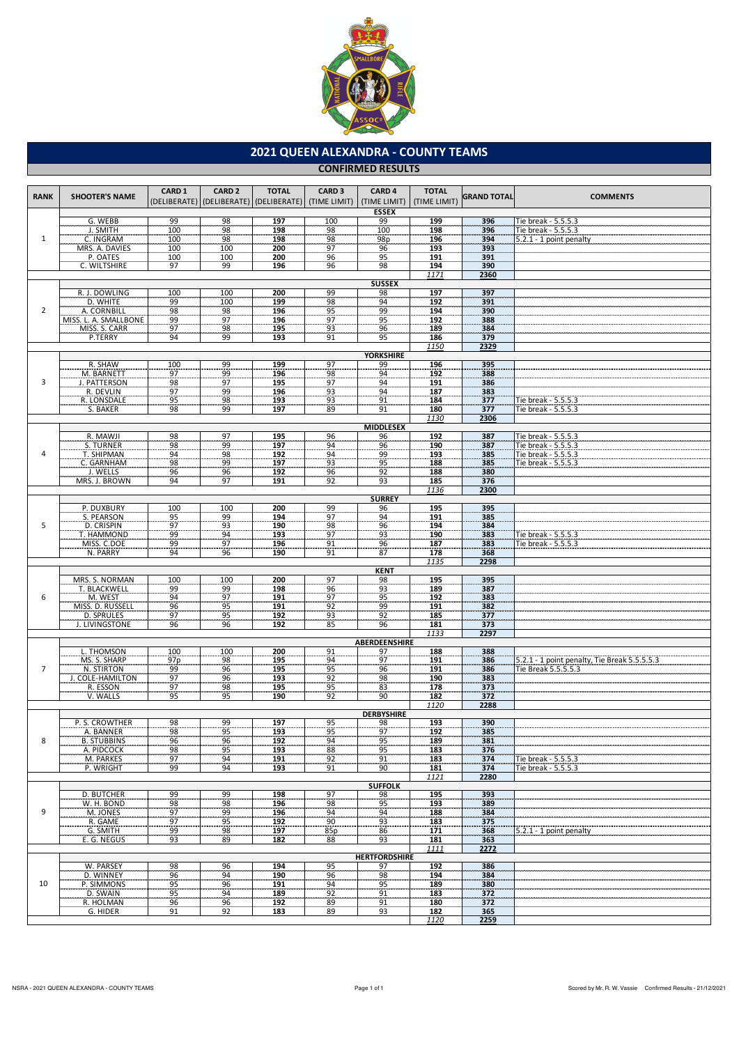

## **2021 QUEEN ALEXANDRA - COUNTY TEAMS**

**CONFIRMED RESULTS** 

| <b>RANK</b> | <b>SHOOTER'S NAME</b>                                               | CARD <sub>1</sub>          | CARD <sub>2</sub>    | <b>TOTAL</b> | CARD <sub>3</sub>                      | CARD <sub>4</sub>                | <b>TOTAL</b> | <b>GRAND TOTAL</b> | <b>COMMENTS</b>                              |  |  |  |  |  |
|-------------|---------------------------------------------------------------------|----------------------------|----------------------|--------------|----------------------------------------|----------------------------------|--------------|--------------------|----------------------------------------------|--|--|--|--|--|
|             |                                                                     | (DELIBERATE)               | (DELIBERATE)         | (DELIBERATE) | (TIME LIMIT)                           | (TIME LIMIT)<br><b>ESSEX</b>     | (TIME LIMIT) |                    |                                              |  |  |  |  |  |
|             | G. WEBB                                                             | 99                         | 98                   | 197          | 100                                    | 99                               | 199          | 396                | Tie break - 5.5.5.3                          |  |  |  |  |  |
| 1           | J. SMITH                                                            | 100                        | 98                   | 198          | 98                                     | 100                              | 198          | 396                | Tie break - 5.5.5.3                          |  |  |  |  |  |
|             | C. INGRAM<br>MRS. A. DAVIES                                         | 100<br>100                 | 98<br>100            | 198<br>200   | 98<br>97                               | 98p<br>96                        | 196<br>193   | 394<br>393         | 5.2.1 - 1 point penalty                      |  |  |  |  |  |
|             | P. OATES                                                            | 100                        | 100                  | 200          | 96                                     | 95                               | 191          | 391                |                                              |  |  |  |  |  |
|             | C. WILTSHIRE                                                        | 97                         | 99                   | 196          | 96                                     | 98                               | 194          | 390                |                                              |  |  |  |  |  |
|             | 1171<br>2360<br><b>SUSSEX</b>                                       |                            |                      |              |                                        |                                  |              |                    |                                              |  |  |  |  |  |
|             | R. J. DOWLING                                                       | 100                        | 100                  | 200          |                                        |                                  | 197          | 397                |                                              |  |  |  |  |  |
|             | D. WHITE                                                            |                            | 100                  | 199          |                                        |                                  | 192          | 391                |                                              |  |  |  |  |  |
| 2           | A. CORNBILL                                                         |                            |                      | 196          |                                        |                                  | 194          | 390                |                                              |  |  |  |  |  |
|             | MISS. L. A. SMALLBONE<br>MISS. S. CARR                              | 99<br>98<br>99<br>97<br>94 |                      | 196<br>195   | 99<br>98<br>95<br>97<br>93<br>93<br>91 | 98<br>94<br>95<br>95<br>95<br>95 | 192<br>189   | 388<br>384         |                                              |  |  |  |  |  |
|             | P.TERRY                                                             |                            | 98<br>97<br>98<br>99 | 193          |                                        |                                  | 186          | 379                |                                              |  |  |  |  |  |
|             |                                                                     |                            |                      |              |                                        |                                  | 1150         | 2329               |                                              |  |  |  |  |  |
|             | <b>YORKSHIRE</b><br>R. SHAW<br>100<br>199<br>97<br>196<br>395<br>99 |                            |                      |              |                                        |                                  |              |                    |                                              |  |  |  |  |  |
|             | M. BARNETT                                                          | 97                         | 99<br>99<br>97       | 196          |                                        |                                  | 192          | 388                |                                              |  |  |  |  |  |
| 3           | J. PATTERSON                                                        | 98                         |                      | 195          | 98<br>97                               | 94<br>94                         | 191          | 386                |                                              |  |  |  |  |  |
|             | R. DEVLIN                                                           | 97                         | 99                   | 196          | 93                                     | 94                               | 187          | 383                |                                              |  |  |  |  |  |
|             | R. LONSDALE<br>S. BAKER                                             | 95<br>98                   | 98<br>99             | 193<br>197   | 93<br>89                               | $\mathsf{91}$<br>91              | 184<br>180   | 377<br>377         | Tie break - 5.5.5.3<br>Tie break - 5.5.5.3   |  |  |  |  |  |
|             |                                                                     |                            |                      |              |                                        |                                  | 1130         | 2306               |                                              |  |  |  |  |  |
|             |                                                                     |                            |                      |              |                                        | <b>MIDDLESEX</b>                 |              |                    |                                              |  |  |  |  |  |
|             | R. MAWJI<br>S. TURNER                                               | 98<br>98                   | 97                   | 195<br>197   | 96                                     | 96                               | 192<br>190   | 387<br>387         | Tie break - 5.5.5.3<br>Tie break - 5.5.5.3   |  |  |  |  |  |
| 4           | T. SHIPMAN                                                          |                            |                      | 192          |                                        |                                  | 193          | 385                | Tie break - 5.5.5.3                          |  |  |  |  |  |
|             | C. GARNHAM                                                          | $\frac{94}{98}$            | 99<br>98<br>99<br>96 | 197          | 94<br>94<br>93<br>96                   | 96<br>99<br>95<br>92             | 188          | 385                | Tie break - 5.5.5.3                          |  |  |  |  |  |
|             | J. WELLS<br>MRS. J. BROWN                                           | 96                         |                      | 192          |                                        |                                  | 188          | 380                |                                              |  |  |  |  |  |
|             |                                                                     | 94                         | 97                   | 191          | 92                                     | 93                               | 185<br>1136  | 376<br>2300        |                                              |  |  |  |  |  |
|             |                                                                     |                            |                      |              |                                        | <b>SURREY</b>                    |              |                    |                                              |  |  |  |  |  |
|             | P. DUXBURY                                                          | 100                        | 100                  | 200          | 99                                     | 96                               | 195          | 395                |                                              |  |  |  |  |  |
| 5           | S. PEARSON<br>D. CRISPIN                                            | 95<br>97<br>99             | 99<br>93<br>94<br>97 | 194<br>190   | 97<br>98<br>97<br>91                   | 94<br>96<br>93                   | 191<br>194   | 385<br>384         |                                              |  |  |  |  |  |
|             | T. HAMMOND                                                          |                            |                      | 193          |                                        |                                  | 190          | 383<br>383         | <u> Tie break - 5.5.5.3</u>                  |  |  |  |  |  |
|             | MISS. C.DOE                                                         | 99                         |                      | 196          |                                        | 96                               | 187          |                    | Tie break - 5.5.5.3                          |  |  |  |  |  |
|             | N. PARRY                                                            | 94                         | 96                   | 190          | 91                                     | 87                               | 178<br>1135  | 368<br>2298        |                                              |  |  |  |  |  |
|             |                                                                     |                            |                      |              |                                        | <b>KENT</b>                      |              |                    |                                              |  |  |  |  |  |
|             | MRS. S. NORMAN                                                      | 100                        | 100                  | 200          | 97                                     | 98                               | 195          | 395                |                                              |  |  |  |  |  |
| 6           | T. BLACKWELL                                                        | 99                         | 99<br>97             | 198<br>191   | 96                                     | 93                               | 189<br>192   | 387<br>383         |                                              |  |  |  |  |  |
|             | M. WEST<br>MISS. D. RUSSELI                                         | 94                         |                      | 191          | 97<br>92                               | 95                               | 191          | 382                |                                              |  |  |  |  |  |
|             | D. SPRULES                                                          | 96<br>97                   | 95<br>95             | 192          | 93                                     | 99<br>92                         | 185          | 377                |                                              |  |  |  |  |  |
|             | J. LIVINGSTONE                                                      | 96                         | 96                   | 192          | 85                                     | 96                               | 181          | 373                |                                              |  |  |  |  |  |
|             |                                                                     |                            |                      |              |                                        | ABERDEENSHIRE                    | 1133         | 2297               |                                              |  |  |  |  |  |
|             | L. THOMSON                                                          | 100                        | 100                  | 200          | $\frac{91}{94}$                        | $\frac{97}{97}$                  | 188          | 388                |                                              |  |  |  |  |  |
|             | MS. S. SHARP                                                        | 97p                        | 98                   | 195          |                                        |                                  | 191          | 386                | 5.2.1 - 1 point penalty, Tie Break 5.5.5.5.3 |  |  |  |  |  |
| 7           | N. STIRTON<br>J. COLE-HAMILTON                                      | 99<br>97                   | 96<br>96             | 195<br>193   | 95<br>92                               | 96<br>98                         | 191<br>190   | 386<br>383         | Tie Break 5.5.5.5.3                          |  |  |  |  |  |
|             | R. ESSON                                                            | 97<br>95                   | 98<br>95             | 195          | 95<br>92                               | 83<br>90                         | 178          | 373                |                                              |  |  |  |  |  |
|             | V. WALLS                                                            |                            |                      | 190          |                                        |                                  | 182          | 372                |                                              |  |  |  |  |  |
|             |                                                                     |                            |                      |              |                                        | <b>DERBYSHIRE</b>                | 1120         | 2288               |                                              |  |  |  |  |  |
|             | P. S. CROWTHER                                                      | 98                         | 99                   | 197          | 95                                     | 98                               | 193          | 390                |                                              |  |  |  |  |  |
|             | A. BANNER                                                           | 98                         | 95                   | 193          | 95                                     | 97                               | 192          | 385                |                                              |  |  |  |  |  |
| 8           | <b>B. STUBBINS</b><br>A. PIDCOCK                                    | 96<br>98                   | 96<br>95             | 192<br>193   | 94<br>88                               | 95<br>95                         | 189<br>183   | 381<br>376         |                                              |  |  |  |  |  |
|             | M. PARKES                                                           | 97                         | 94                   | 191          | 92                                     | 91                               | 183          | 374                | Tie break - 5.5.5.3                          |  |  |  |  |  |
|             | P. WRIGHT                                                           | 99                         | 94                   | 193          | 91                                     | 90                               | 181          | 374                | Tie break - 5.5.5.3                          |  |  |  |  |  |
|             |                                                                     |                            |                      |              |                                        | <b>SUFFOLK</b>                   | 1121         | 2280               |                                              |  |  |  |  |  |
|             | D. BUTCHER                                                          | 99                         |                      | 198          | $\overline{97}$                        | 98                               | 195          | 393                |                                              |  |  |  |  |  |
| 9           | W. H. BOND                                                          | 98                         | $\frac{99}{98}$      | 196          | 98.                                    | 95                               | 193          | 389                |                                              |  |  |  |  |  |
|             | M. JONES                                                            | 97                         | 99                   | 196          | 94                                     | 94                               | 188          | 384                |                                              |  |  |  |  |  |
|             | R. GAME<br>G. SMITH                                                 | $\frac{97}{99}$            | 95<br>98             | 192<br>197   | 90<br>85p                              | 93<br>86                         | 183<br>171   | 375<br>368         | $5.2.1 - 1$ point penalty                    |  |  |  |  |  |
|             | E. G. NEGUS                                                         | 93                         | 89                   | 182          | 88                                     | 93                               | 181          | 363                |                                              |  |  |  |  |  |
|             | 1111<br>2272                                                        |                            |                      |              |                                        |                                  |              |                    |                                              |  |  |  |  |  |
|             | W. PARSEY                                                           | 98                         | 96                   | 194          | 95                                     | <b>HERTFORDSHIRE</b><br>97       | 192          | 386                |                                              |  |  |  |  |  |
| 10          | D. WINNEY                                                           | 96                         | 94                   | 190          | 96                                     | 98                               | 194          | 384                |                                              |  |  |  |  |  |
|             | P. SIMMONS                                                          | 95                         | 96                   | 191          | 94                                     | 95                               | 189          | 380                |                                              |  |  |  |  |  |
|             | D. SWAIN<br>R. HOLMAN                                               | 95<br>96<br>91             | 94<br>96<br>92       | 189<br>192   | 92<br>89<br>89                         | 91<br>91<br>93                   | 183<br>180   | 372<br>372         |                                              |  |  |  |  |  |
|             | G. HIDER                                                            |                            |                      | 183          |                                        |                                  | 182          | 365                |                                              |  |  |  |  |  |
|             |                                                                     |                            |                      |              |                                        |                                  | 1120         | 2259               |                                              |  |  |  |  |  |